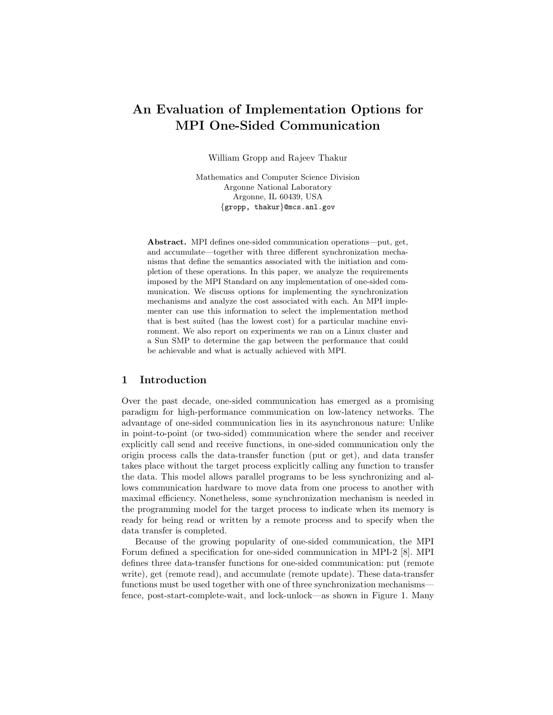# An Evaluation of Implementation Options for MPI One-Sided Communication

William Gropp and Rajeev Thakur

Mathematics and Computer Science Division Argonne National Laboratory Argonne, IL 60439, USA {gropp, thakur}@mcs.anl.gov

Abstract. MPI defines one-sided communication operations—put, get, and accumulate—together with three different synchronization mechanisms that define the semantics associated with the initiation and completion of these operations. In this paper, we analyze the requirements imposed by the MPI Standard on any implementation of one-sided communication. We discuss options for implementing the synchronization mechanisms and analyze the cost associated with each. An MPI implementer can use this information to select the implementation method that is best suited (has the lowest cost) for a particular machine environment. We also report on experiments we ran on a Linux cluster and a Sun SMP to determine the gap between the performance that could be achievable and what is actually achieved with MPI.

# 1 Introduction

Over the past decade, one-sided communication has emerged as a promising paradigm for high-performance communication on low-latency networks. The advantage of one-sided communication lies in its asynchronous nature: Unlike in point-to-point (or two-sided) communication where the sender and receiver explicitly call send and receive functions, in one-sided communication only the origin process calls the data-transfer function (put or get), and data transfer takes place without the target process explicitly calling any function to transfer the data. This model allows parallel programs to be less synchronizing and allows communication hardware to move data from one process to another with maximal efficiency. Nonetheless, some synchronization mechanism is needed in the programming model for the target process to indicate when its memory is ready for being read or written by a remote process and to specify when the data transfer is completed.

Because of the growing popularity of one-sided communication, the MPI Forum defined a specification for one-sided communication in MPI-2 [8]. MPI defines three data-transfer functions for one-sided communication: put (remote write), get (remote read), and accumulate (remote update). These data-transfer functions must be used together with one of three synchronization mechanisms fence, post-start-complete-wait, and lock-unlock—as shown in Figure 1. Many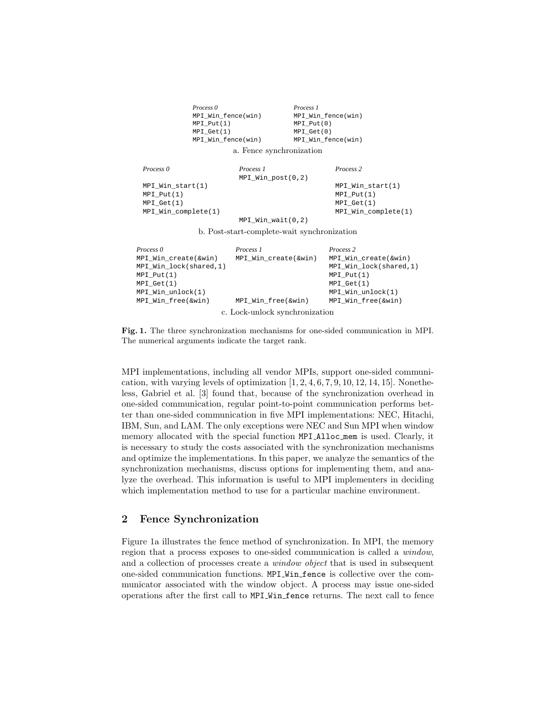```
Process 0 Process 1
MPI_Win_fence(win)
MPI_Put(1)
MPI_Get(1)
MPI_Win_fence(win)
                        MPI_Win_fence(win)
                        MPI_Put(0)
                        MPI_Get(0)
                        MPI_Win_fence(win)
```
a. Fence synchronization

| Process <sub>0</sub>                                                     | Process 1<br>MPI Win $post(0, 2)$ | Process <sub>2</sub>                                                           |
|--------------------------------------------------------------------------|-----------------------------------|--------------------------------------------------------------------------------|
| $MPI$ Win start $(1)$<br>MPI Put(1)<br>MPI Get(1)<br>MPI_Win_complete(1) |                                   | $MPI$ Win start $(1)$<br>MPI Put (1)<br>MPI Get(1)<br>$MPI$ Win complete $(1)$ |
|                                                                          | $MPI_Win_wait(0,2)$               |                                                                                |

b. Post-start-complete-wait synchronization

| Process <sub>0</sub>           | Process 1            | Process <sub>2</sub>    |  |  |  |
|--------------------------------|----------------------|-------------------------|--|--|--|
| MPI Win create(&win)           | MPI Win create(&win) | MPI Win create(&win)    |  |  |  |
| MPI Win lock(shared, 1)        |                      | MPI Win lock(shared, 1) |  |  |  |
| MPI Put (1)                    |                      | MPI Put(1)              |  |  |  |
| MPI Get(1)                     |                      | MPI Get(1)              |  |  |  |
| $MPI$ Win unlock $(1)$         |                      | $MPI$ Win unlock $(1)$  |  |  |  |
| MPI Win free(&win)             | MPI Win free(&win)   | MPI Win free(&win)      |  |  |  |
| c. Lock-unlock synchronization |                      |                         |  |  |  |

Fig. 1. The three synchronization mechanisms for one-sided communication in MPI. The numerical arguments indicate the target rank.

MPI implementations, including all vendor MPIs, support one-sided communication, with varying levels of optimization  $[1, 2, 4, 6, 7, 9, 10, 12, 14, 15]$ . Nonetheless, Gabriel et al. [3] found that, because of the synchronization overhead in one-sided communication, regular point-to-point communication performs better than one-sided communication in five MPI implementations: NEC, Hitachi, IBM, Sun, and LAM. The only exceptions were NEC and Sun MPI when window memory allocated with the special function MPI Alloc mem is used. Clearly, it is necessary to study the costs associated with the synchronization mechanisms and optimize the implementations. In this paper, we analyze the semantics of the synchronization mechanisms, discuss options for implementing them, and analyze the overhead. This information is useful to MPI implementers in deciding which implementation method to use for a particular machine environment.

# 2 Fence Synchronization

Figure 1a illustrates the fence method of synchronization. In MPI, the memory region that a process exposes to one-sided communication is called a window, and a collection of processes create a window object that is used in subsequent one-sided communication functions. MPI Win fence is collective over the communicator associated with the window object. A process may issue one-sided operations after the first call to MPI Win fence returns. The next call to fence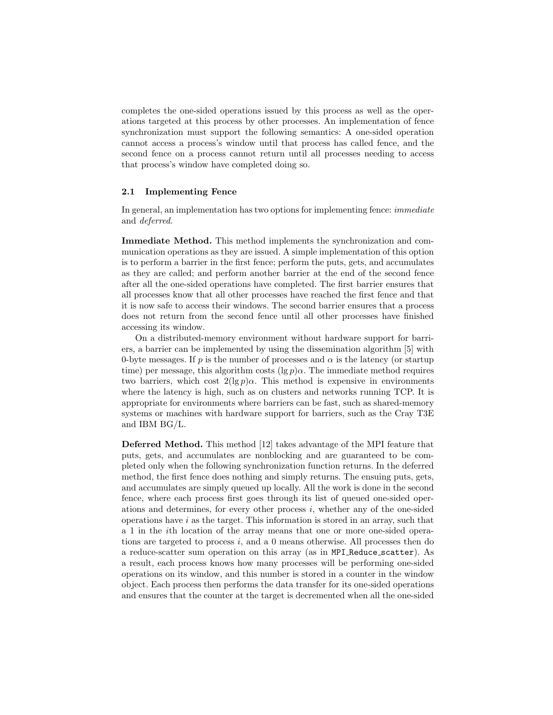completes the one-sided operations issued by this process as well as the operations targeted at this process by other processes. An implementation of fence synchronization must support the following semantics: A one-sided operation cannot access a process's window until that process has called fence, and the second fence on a process cannot return until all processes needing to access that process's window have completed doing so.

#### 2.1 Implementing Fence

In general, an implementation has two options for implementing fence: immediate and deferred.

Immediate Method. This method implements the synchronization and communication operations as they are issued. A simple implementation of this option is to perform a barrier in the first fence; perform the puts, gets, and accumulates as they are called; and perform another barrier at the end of the second fence after all the one-sided operations have completed. The first barrier ensures that all processes know that all other processes have reached the first fence and that it is now safe to access their windows. The second barrier ensures that a process does not return from the second fence until all other processes have finished accessing its window.

On a distributed-memory environment without hardware support for barriers, a barrier can be implemented by using the dissemination algorithm [5] with 0-byte messages. If p is the number of processes and  $\alpha$  is the latency (or startup time) per message, this algorithm costs  $(\lg p)\alpha$ . The immediate method requires two barriers, which cost  $2(\lg p)\alpha$ . This method is expensive in environments where the latency is high, such as on clusters and networks running TCP. It is appropriate for environments where barriers can be fast, such as shared-memory systems or machines with hardware support for barriers, such as the Cray T3E and IBM BG/L.

Deferred Method. This method [12] takes advantage of the MPI feature that puts, gets, and accumulates are nonblocking and are guaranteed to be completed only when the following synchronization function returns. In the deferred method, the first fence does nothing and simply returns. The ensuing puts, gets, and accumulates are simply queued up locally. All the work is done in the second fence, where each process first goes through its list of queued one-sided operations and determines, for every other process i, whether any of the one-sided operations have  $i$  as the target. This information is stored in an array, such that a 1 in the ith location of the array means that one or more one-sided operations are targeted to process  $i$ , and a 0 means otherwise. All processes then do a reduce-scatter sum operation on this array (as in MPI Reduce scatter). As a result, each process knows how many processes will be performing one-sided operations on its window, and this number is stored in a counter in the window object. Each process then performs the data transfer for its one-sided operations and ensures that the counter at the target is decremented when all the one-sided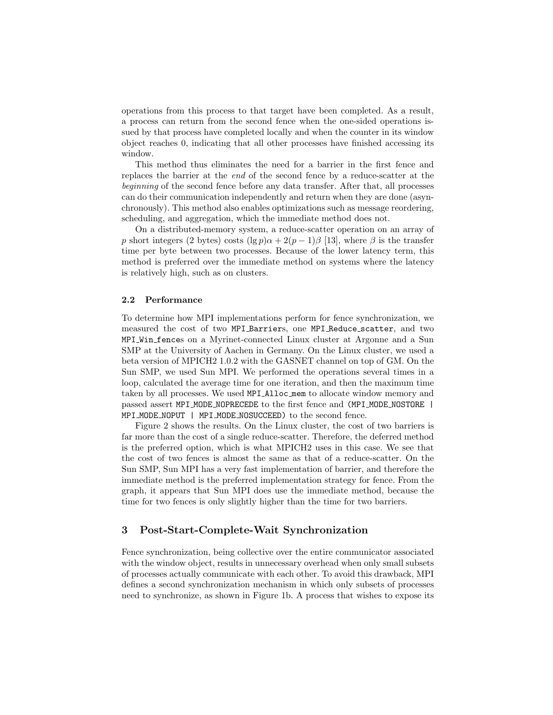operations from this process to that target have been completed. As a result, a process can return from the second fence when the one-sided operations issued by that process have completed locally and when the counter in its window object reaches 0, indicating that all other processes have finished accessing its window.

This method thus eliminates the need for a barrier in the first fence and replaces the barrier at the end of the second fence by a reduce-scatter at the beginning of the second fence before any data transfer. After that, all processes can do their communication independently and return when they are done (asynchronously). This method also enables optimizations such as message reordering, scheduling, and aggregation, which the immediate method does not.

On a distributed-memory system, a reduce-scatter operation on an array of p short integers (2 bytes) costs  $(\lg p)\alpha + 2(p-1)\beta$  [13], where  $\beta$  is the transfer time per byte between two processes. Because of the lower latency term, this method is preferred over the immediate method on systems where the latency is relatively high, such as on clusters.

#### 2.2 Performance

To determine how MPI implementations perform for fence synchronization, we measured the cost of two MPI Barriers, one MPI Reduce scatter, and two MPI Win fences on a Myrinet-connected Linux cluster at Argonne and a Sun SMP at the University of Aachen in Germany. On the Linux cluster, we used a beta version of MPICH2 1.0.2 with the GASNET channel on top of GM. On the Sun SMP, we used Sun MPI. We performed the operations several times in a loop, calculated the average time for one iteration, and then the maximum time taken by all processes. We used MPI Alloc mem to allocate window memory and passed assert MPI MODE NOPRECEDE to the first fence and (MPI MODE NOSTORE | MPI MODE NOPUT | MPI MODE NOSUCCEED) to the second fence.

Figure 2 shows the results. On the Linux cluster, the cost of two barriers is far more than the cost of a single reduce-scatter. Therefore, the deferred method is the preferred option, which is what MPICH2 uses in this case. We see that the cost of two fences is almost the same as that of a reduce-scatter. On the Sun SMP, Sun MPI has a very fast implementation of barrier, and therefore the immediate method is the preferred implementation strategy for fence. From the graph, it appears that Sun MPI does use the immediate method, because the time for two fences is only slightly higher than the time for two barriers.

# 3 Post-Start-Complete-Wait Synchronization

Fence synchronization, being collective over the entire communicator associated with the window object, results in unnecessary overhead when only small subsets of processes actually communicate with each other. To avoid this drawback, MPI defines a second synchronization mechanism in which only subsets of processes need to synchronize, as shown in Figure 1b. A process that wishes to expose its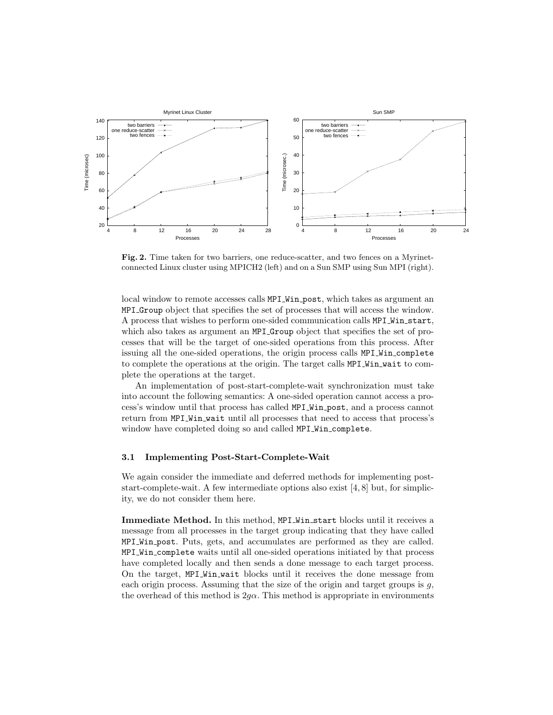

Fig. 2. Time taken for two barriers, one reduce-scatter, and two fences on a Myrinetconnected Linux cluster using MPICH2 (left) and on a Sun SMP using Sun MPI (right).

local window to remote accesses calls **MPI\_Win\_post**, which takes as argument an MPI Group object that specifies the set of processes that will access the window. A process that wishes to perform one-sided communication calls MPI Win start, which also takes as argument an MPI Group object that specifies the set of processes that will be the target of one-sided operations from this process. After issuing all the one-sided operations, the origin process calls MPI Win complete to complete the operations at the origin. The target calls MPI Win wait to complete the operations at the target.

An implementation of post-start-complete-wait synchronization must take into account the following semantics: A one-sided operation cannot access a process's window until that process has called MPI Win post, and a process cannot return from MPI Win wait until all processes that need to access that process's window have completed doing so and called MPI Win complete.

#### 3.1 Implementing Post-Start-Complete-Wait

We again consider the immediate and deferred methods for implementing poststart-complete-wait. A few intermediate options also exist  $[4, 8]$  but, for simplicity, we do not consider them here.

Immediate Method. In this method, MPI Win start blocks until it receives a message from all processes in the target group indicating that they have called MPI Win post. Puts, gets, and accumulates are performed as they are called. MPI Win complete waits until all one-sided operations initiated by that process have completed locally and then sends a done message to each target process. On the target, MPI Win wait blocks until it receives the done message from each origin process. Assuming that the size of the origin and target groups is  $g$ , the overhead of this method is  $2g\alpha$ . This method is appropriate in environments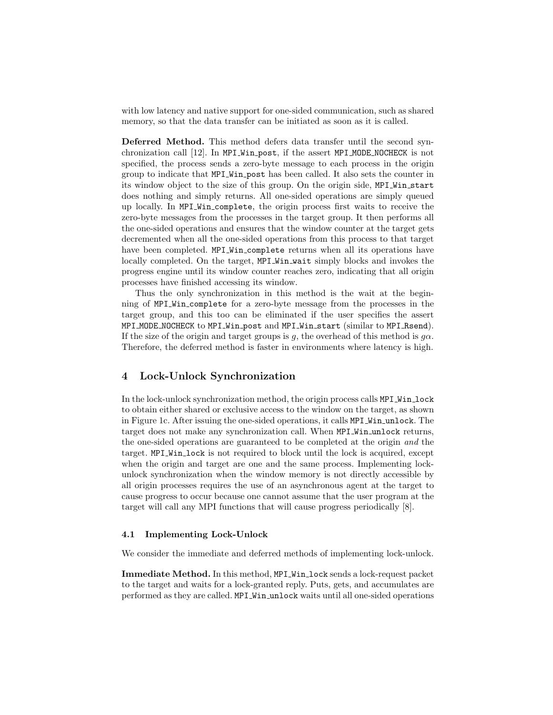with low latency and native support for one-sided communication, such as shared memory, so that the data transfer can be initiated as soon as it is called.

Deferred Method. This method defers data transfer until the second synchronization call [12]. In MPI Win post, if the assert MPI MODE NOCHECK is not specified, the process sends a zero-byte message to each process in the origin group to indicate that MPI Win post has been called. It also sets the counter in its window object to the size of this group. On the origin side, MPI Win start does nothing and simply returns. All one-sided operations are simply queued up locally. In MPI Win complete, the origin process first waits to receive the zero-byte messages from the processes in the target group. It then performs all the one-sided operations and ensures that the window counter at the target gets decremented when all the one-sided operations from this process to that target have been completed. MPI\_Win\_complete returns when all its operations have locally completed. On the target, MPI Win wait simply blocks and invokes the progress engine until its window counter reaches zero, indicating that all origin processes have finished accessing its window.

Thus the only synchronization in this method is the wait at the beginning of MPI Win complete for a zero-byte message from the processes in the target group, and this too can be eliminated if the user specifies the assert MPI MODE NOCHECK to MPI Win post and MPI Win start (similar to MPI Rsend). If the size of the origin and target groups is q, the overhead of this method is  $q\alpha$ . Therefore, the deferred method is faster in environments where latency is high.

# 4 Lock-Unlock Synchronization

In the lock-unlock synchronization method, the origin process calls MPI Win lock to obtain either shared or exclusive access to the window on the target, as shown in Figure 1c. After issuing the one-sided operations, it calls MPI Win unlock. The target does not make any synchronization call. When MPI Win unlock returns, the one-sided operations are guaranteed to be completed at the origin and the target. MPI Win lock is not required to block until the lock is acquired, except when the origin and target are one and the same process. Implementing lockunlock synchronization when the window memory is not directly accessible by all origin processes requires the use of an asynchronous agent at the target to cause progress to occur because one cannot assume that the user program at the target will call any MPI functions that will cause progress periodically [8].

#### 4.1 Implementing Lock-Unlock

We consider the immediate and deferred methods of implementing lock-unlock.

Immediate Method. In this method, MPI Win lock sends a lock-request packet to the target and waits for a lock-granted reply. Puts, gets, and accumulates are performed as they are called. MPI Win unlock waits until all one-sided operations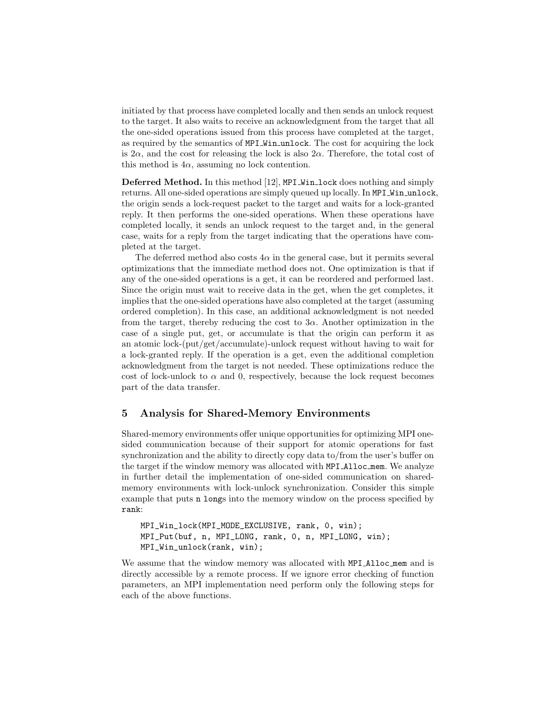initiated by that process have completed locally and then sends an unlock request to the target. It also waits to receive an acknowledgment from the target that all the one-sided operations issued from this process have completed at the target, as required by the semantics of MPI Win unlock. The cost for acquiring the lock is  $2\alpha$ , and the cost for releasing the lock is also  $2\alpha$ . Therefore, the total cost of this method is  $4\alpha$ , assuming no lock contention.

Deferred Method. In this method [12], MPI Win lock does nothing and simply returns. All one-sided operations are simply queued up locally. In MPI Win unlock, the origin sends a lock-request packet to the target and waits for a lock-granted reply. It then performs the one-sided operations. When these operations have completed locally, it sends an unlock request to the target and, in the general case, waits for a reply from the target indicating that the operations have completed at the target.

The deferred method also costs  $4\alpha$  in the general case, but it permits several optimizations that the immediate method does not. One optimization is that if any of the one-sided operations is a get, it can be reordered and performed last. Since the origin must wait to receive data in the get, when the get completes, it implies that the one-sided operations have also completed at the target (assuming ordered completion). In this case, an additional acknowledgment is not needed from the target, thereby reducing the cost to  $3\alpha$ . Another optimization in the case of a single put, get, or accumulate is that the origin can perform it as an atomic lock-(put/get/accumulate)-unlock request without having to wait for a lock-granted reply. If the operation is a get, even the additional completion acknowledgment from the target is not needed. These optimizations reduce the cost of lock-unlock to  $\alpha$  and 0, respectively, because the lock request becomes part of the data transfer.

# 5 Analysis for Shared-Memory Environments

Shared-memory environments offer unique opportunities for optimizing MPI onesided communication because of their support for atomic operations for fast synchronization and the ability to directly copy data to/from the user's buffer on the target if the window memory was allocated with MPI Alloc mem. We analyze in further detail the implementation of one-sided communication on sharedmemory environments with lock-unlock synchronization. Consider this simple example that puts n longs into the memory window on the process specified by rank:

MPI\_Win\_lock(MPI\_MODE\_EXCLUSIVE, rank, 0, win); MPI\_Put(buf, n, MPI\_LONG, rank, 0, n, MPI\_LONG, win); MPI\_Win\_unlock(rank, win);

We assume that the window memory was allocated with MPI Alloc mem and is directly accessible by a remote process. If we ignore error checking of function parameters, an MPI implementation need perform only the following steps for each of the above functions.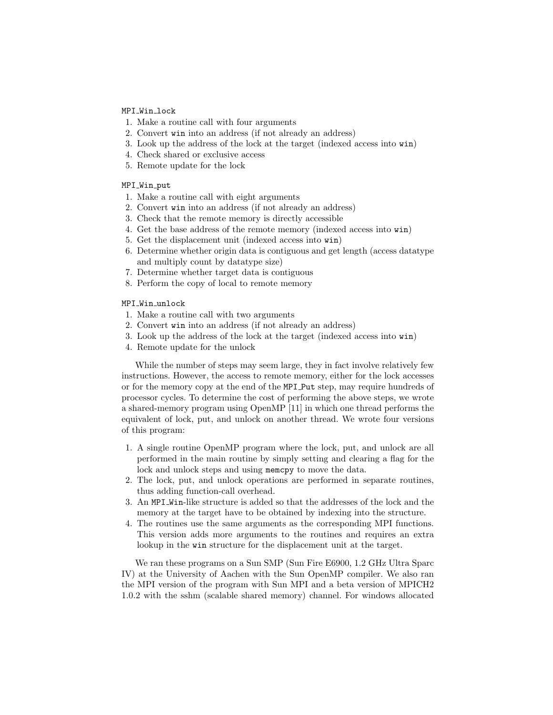#### MPI Win lock

- 1. Make a routine call with four arguments
- 2. Convert win into an address (if not already an address)
- 3. Look up the address of the lock at the target (indexed access into win)
- 4. Check shared or exclusive access
- 5. Remote update for the lock

#### MPI Win put

- 1. Make a routine call with eight arguments
- 2. Convert win into an address (if not already an address)
- 3. Check that the remote memory is directly accessible
- 4. Get the base address of the remote memory (indexed access into win)
- 5. Get the displacement unit (indexed access into win)
- 6. Determine whether origin data is contiguous and get length (access datatype and multiply count by datatype size)
- 7. Determine whether target data is contiguous
- 8. Perform the copy of local to remote memory

MPI\_Win\_unlock

- 1. Make a routine call with two arguments
- 2. Convert win into an address (if not already an address)
- 3. Look up the address of the lock at the target (indexed access into win)
- 4. Remote update for the unlock

While the number of steps may seem large, they in fact involve relatively few instructions. However, the access to remote memory, either for the lock accesses or for the memory copy at the end of the MPI Put step, may require hundreds of processor cycles. To determine the cost of performing the above steps, we wrote a shared-memory program using OpenMP [11] in which one thread performs the equivalent of lock, put, and unlock on another thread. We wrote four versions of this program:

- 1. A single routine OpenMP program where the lock, put, and unlock are all performed in the main routine by simply setting and clearing a flag for the lock and unlock steps and using memcpy to move the data.
- 2. The lock, put, and unlock operations are performed in separate routines, thus adding function-call overhead.
- 3. An MPI Win-like structure is added so that the addresses of the lock and the memory at the target have to be obtained by indexing into the structure.
- 4. The routines use the same arguments as the corresponding MPI functions. This version adds more arguments to the routines and requires an extra lookup in the win structure for the displacement unit at the target.

We ran these programs on a Sun SMP (Sun Fire E6900, 1.2 GHz Ultra Sparc IV) at the University of Aachen with the Sun OpenMP compiler. We also ran the MPI version of the program with Sun MPI and a beta version of MPICH2 1.0.2 with the sshm (scalable shared memory) channel. For windows allocated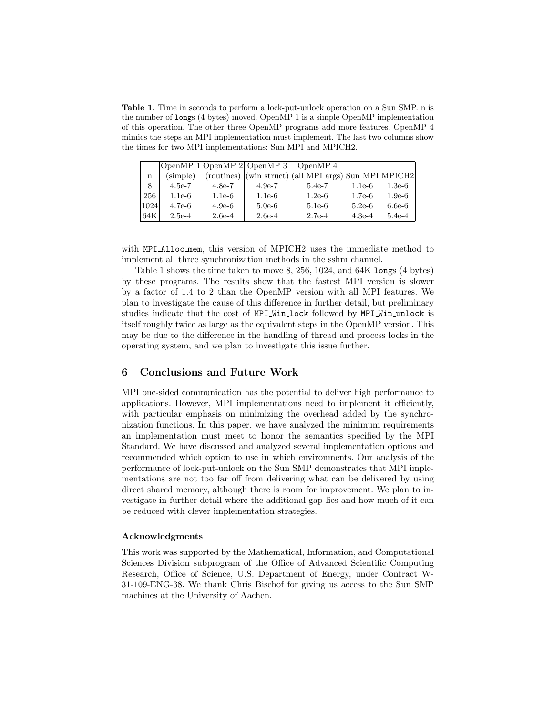Table 1. Time in seconds to perform a lock-put-unlock operation on a Sun SMP. n is the number of longs (4 bytes) moved. OpenMP 1 is a simple OpenMP implementation of this operation. The other three OpenMP programs add more features. OpenMP 4 mimics the steps an MPI implementation must implement. The last two columns show the times for two MPI implementations: Sun MPI and MPICH2.

|      |          |          |          | $\overline{O}$ penMP 1 $\overline{O}$ penMP 2 $\overline{O}$ penMP 3 $\overline{O}$ penMP 4 |          |          |
|------|----------|----------|----------|---------------------------------------------------------------------------------------------|----------|----------|
| n    | (simple) |          |          | (routines) $ (\text{win struct}) (\text{all MPI args})  \text{Sun MPIMPICH2} $              |          |          |
| 8    | $4.5e-7$ | $4.8e-7$ | $4.9e-7$ | $5.4e-7$                                                                                    | $1.1e-6$ | $1.3e-6$ |
| 256  | $1.1e-6$ | $1.1e-6$ | $1.1e-6$ | $1.2e-6$                                                                                    | $1.7e-6$ | $1.9e-6$ |
| 1024 | $4.7e-6$ | $4.9e-6$ | $5.0e-6$ | $5.1e-6$                                                                                    | $5.2e-6$ | $6.6e-6$ |
| 64K  | $2.5e-4$ | $2.6e-4$ | $2.6e-4$ | $2.7e-4$                                                                                    | $4.3e-4$ | $5.4e-4$ |

with MPI Alloc mem, this version of MPICH2 uses the immediate method to implement all three synchronization methods in the sshm channel.

Table 1 shows the time taken to move 8, 256, 1024, and 64K longs (4 bytes) by these programs. The results show that the fastest MPI version is slower by a factor of 1.4 to 2 than the OpenMP version with all MPI features. We plan to investigate the cause of this difference in further detail, but preliminary studies indicate that the cost of MPI Win lock followed by MPI Win unlock is itself roughly twice as large as the equivalent steps in the OpenMP version. This may be due to the difference in the handling of thread and process locks in the operating system, and we plan to investigate this issue further.

# 6 Conclusions and Future Work

MPI one-sided communication has the potential to deliver high performance to applications. However, MPI implementations need to implement it efficiently, with particular emphasis on minimizing the overhead added by the synchronization functions. In this paper, we have analyzed the minimum requirements an implementation must meet to honor the semantics specified by the MPI Standard. We have discussed and analyzed several implementation options and recommended which option to use in which environments. Our analysis of the performance of lock-put-unlock on the Sun SMP demonstrates that MPI implementations are not too far off from delivering what can be delivered by using direct shared memory, although there is room for improvement. We plan to investigate in further detail where the additional gap lies and how much of it can be reduced with clever implementation strategies.

#### Acknowledgments

This work was supported by the Mathematical, Information, and Computational Sciences Division subprogram of the Office of Advanced Scientific Computing Research, Office of Science, U.S. Department of Energy, under Contract W-31-109-ENG-38. We thank Chris Bischof for giving us access to the Sun SMP machines at the University of Aachen.